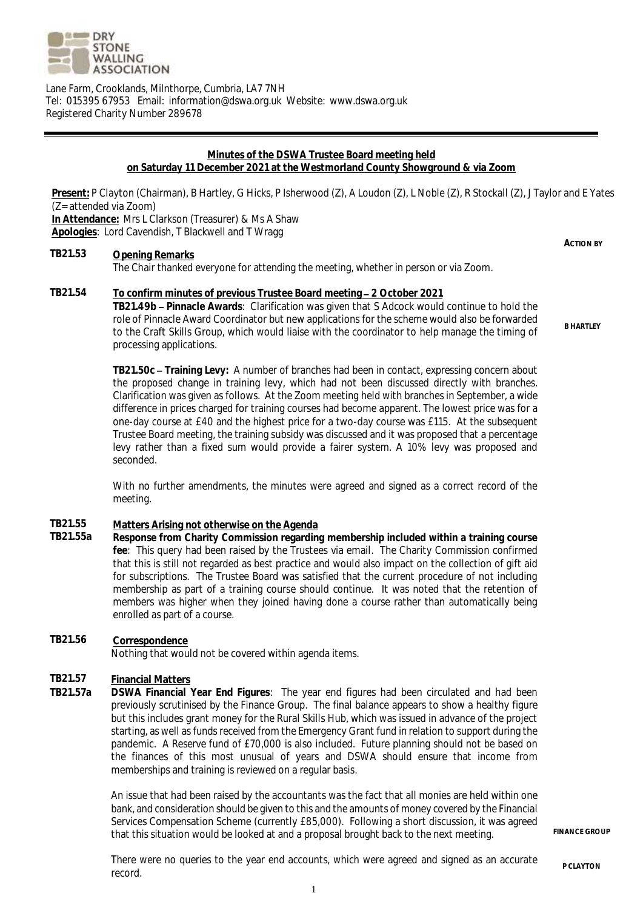

Lane Farm, Crooklands, Milnthorpe, Cumbria, LA7 7NH Tel: 015395 67953 Email: information@dswa.org.uk Website: www.dswa.org.uk Registered Charity Number 289678

#### **Minutes of the DSWA Trustee Board meeting held on Saturday 11 December 2021 at the Westmorland County Showground & via Zoom**

**Present:** P Clayton (Chairman), B Hartley, G Hicks, P Isherwood (Z), A Loudon (Z), L Noble (Z), R Stockall (Z), J Taylor and E Yates (Z= attended via Zoom) **In Attendance:** Mrs L Clarkson (Treasurer) & Ms A Shaw **Apologies**: Lord Cavendish, T Blackwell and T Wragg

### **TB21.53 Opening Remarks**

The Chair thanked everyone for attending the meeting, whether in person or via Zoom.

**TB21.54 To confirm minutes of previous Trustee Board meeting 2 October 2021 TB21.49b Pinnacle Awards**: Clarification was given that S Adcock would continue to hold the role of Pinnacle Award Coordinator but new applications for the scheme would also be forwarded to the Craft Skills Group, which would liaise with the coordinator to help manage the timing of processing applications.

> **TB21.50c Training Levy:** A number of branches had been in contact, expressing concern about the proposed change in training levy, which had not been discussed directly with branches. Clarification was given as follows. At the Zoom meeting held with branches in September, a wide difference in prices charged for training courses had become apparent. The lowest price was for a one-day course at £40 and the highest price for a two-day course was £115. At the subsequent Trustee Board meeting, the training subsidy was discussed and it was proposed that a percentage levy rather than a fixed sum would provide a fairer system. A 10% levy was proposed and seconded.

> With no further amendments, the minutes were agreed and signed as a correct record of the meeting.

#### **TB21.55 Matters Arising not otherwise on the Agenda**

- **TB21.55a Response from Charity Commission regarding membership included within a training course fee**: This query had been raised by the Trustees via email. The Charity Commission confirmed that this is still not regarded as best practice and would also impact on the collection of gift aid for subscriptions. The Trustee Board was satisfied that the current procedure of not including membership as part of a training course should continue. It was noted that the retention of members was higher when they joined having done a course rather than automatically being enrolled as part of a course.
- **TB21.56 Correspondence** Nothing that would not be covered within agenda items.

#### **TB21.57 Financial Matters**

**TB21.57a DSWA Financial Year End Figures**: The year end figures had been circulated and had been previously scrutinised by the Finance Group. The final balance appears to show a healthy figure but this includes grant money for the Rural Skills Hub, which was issued in advance of the project starting, as well as funds received from the Emergency Grant fund in relation to support during the pandemic. A Reserve fund of £70,000 is also included. Future planning should not be based on the finances of this most unusual of years and DSWA should ensure that income from memberships and training is reviewed on a regular basis.

> An issue that had been raised by the accountants was the fact that all monies are held within one bank, and consideration should be given to this and the amounts of money covered by the Financial Services Compensation Scheme (currently £85,000). Following a short discussion, it was agreed that this situation would be looked at and a proposal brought back to the next meeting.

**FINANCE GROUP**

There were no queries to the year end accounts, which were agreed and signed as an accurate record.

**B HARTLEY** 

**ACTION BY**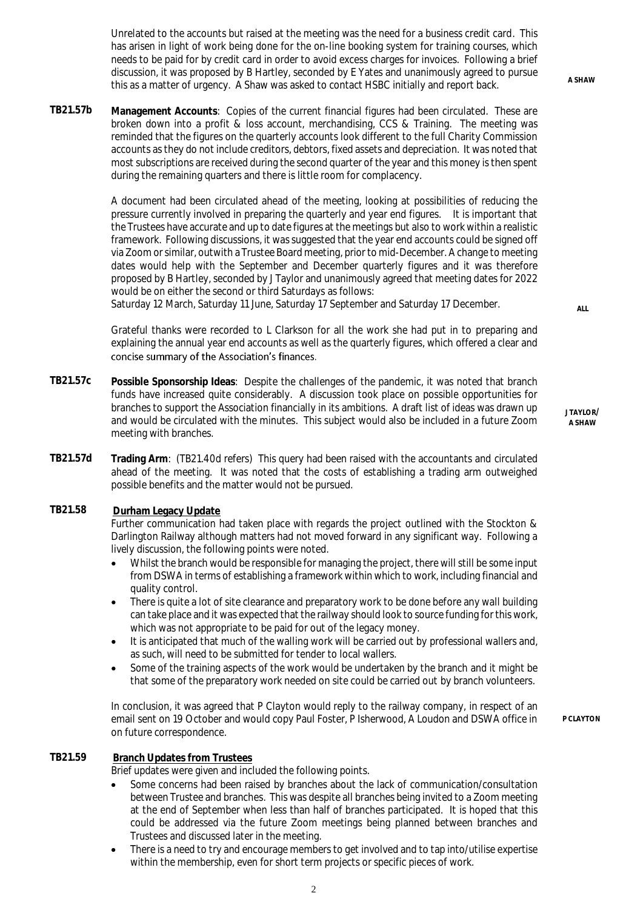Unrelated to the accounts but raised at the meeting was the need for a business credit card. This has arisen in light of work being done for the on-line booking system for training courses, which needs to be paid for by credit card in order to avoid excess charges for invoices. Following a brief discussion, it was proposed by B Hartley, seconded by E Yates and unanimously agreed to pursue this as a matter of urgency. A Shaw was asked to contact HSBC initially and report back. **A SHAW**

**TB21.57b Management Accounts**: Copies of the current financial figures had been circulated. These are broken down into a profit & loss account, merchandising, CCS & Training. The meeting was reminded that the figures on the quarterly accounts look different to the full Charity Commission accounts as they do not include creditors, debtors, fixed assets and depreciation. It was noted that most subscriptions are received during the second quarter of the year and this money is then spent during the remaining quarters and there is little room for complacency.

> A document had been circulated ahead of the meeting, looking at possibilities of reducing the pressure currently involved in preparing the quarterly and year end figures. It is important that the Trustees have accurate and up to date figures at the meetings but also to work within a realistic framework. Following discussions, it was suggested that the year end accounts could be signed off via Zoom or similar, outwith a Trustee Board meeting, prior to mid-December. A change to meeting dates would help with the September and December quarterly figures and it was therefore proposed by B Hartley, seconded by J Taylor and unanimously agreed that meeting dates for 2022 would be on either the second or third Saturdays as follows:

Saturday 12 March, Saturday 11 June, Saturday 17 September and Saturday 17 December.

Grateful thanks were recorded to L Clarkson for all the work she had put in to preparing and explaining the annual year end accounts as well as the quarterly figures, which offered a clear and concise summary of the Association's finances.

- **TB21.57c Possible Sponsorship Ideas**: Despite the challenges of the pandemic, it was noted that branch funds have increased quite considerably. A discussion took place on possible opportunities for branches to support the Association financially in its ambitions. A draft list of ideas was drawn up and would be circulated with the minutes. This subject would also be included in a future Zoom meeting with branches.
- **TB21.57d Trading Arm**: (TB21.40d refers) This query had been raised with the accountants and circulated ahead of the meeting. It was noted that the costs of establishing a trading arm outweighed possible benefits and the matter would not be pursued.

#### **TB21.58 Durham Legacy Update**

Further communication had taken place with regards the project outlined with the Stockton & Darlington Railway although matters had not moved forward in any significant way. Following a lively discussion, the following points were noted.

- Whilst the branch would be responsible for managing the project, there will still be some input from DSWA in terms of establishing a framework within which to work, including financial and quality control.
- There is quite a lot of site clearance and preparatory work to be done before any wall building can take place and it was expected that the railway should look to source funding for this work, which was not appropriate to be paid for out of the legacy money.
- It is anticipated that much of the walling work will be carried out by professional wallers and, as such, will need to be submitted for tender to local wallers.
- Some of the training aspects of the work would be undertaken by the branch and it might be that some of the preparatory work needed on site could be carried out by branch volunteers.

In conclusion, it was agreed that P Clayton would reply to the railway company, in respect of an email sent on 19 October and would copy Paul Foster, P Isherwood, A Loudon and DSWA office in on future correspondence.

**P CLAYTON**

## **TB21.59 Branch Updates from Trustees**

Brief updates were given and included the following points.

- Some concerns had been raised by branches about the lack of communication/consultation between Trustee and branches. This was despite all branches being invited to a Zoom meeting at the end of September when less than half of branches participated. It is hoped that this could be addressed via the future Zoom meetings being planned between branches and Trustees and discussed later in the meeting.
- There is a need to try and encourage members to get involved and to tap into/utilise expertise within the membership, even for short term projects or specific pieces of work.

**ALL**

**J TAYLOR/ A SHAW**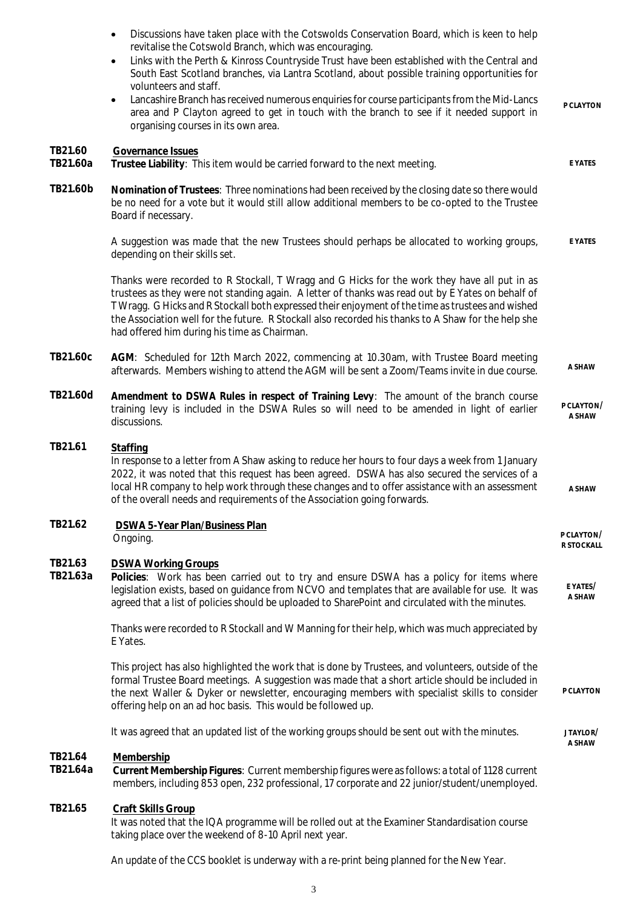|                     | Discussions have taken place with the Cotswolds Conservation Board, which is keen to help<br>revitalise the Cotswold Branch, which was encouraging.<br>Links with the Perth & Kinross Countryside Trust have been established with the Central and<br>$\bullet$<br>South East Scotland branches, via Lantra Scotland, about possible training opportunities for<br>volunteers and staff.<br>Lancashire Branch has received numerous enquiries for course participants from the Mid-Lancs<br>$\bullet$<br>area and P Clayton agreed to get in touch with the branch to see if it needed support in<br>organising courses in its own area. | P CLAYTON                |
|---------------------|------------------------------------------------------------------------------------------------------------------------------------------------------------------------------------------------------------------------------------------------------------------------------------------------------------------------------------------------------------------------------------------------------------------------------------------------------------------------------------------------------------------------------------------------------------------------------------------------------------------------------------------|--------------------------|
| TB21.60<br>TB21.60a | Governance Issues<br>Trustee Liability: This item would be carried forward to the next meeting.                                                                                                                                                                                                                                                                                                                                                                                                                                                                                                                                          | E YATES                  |
| TB21.60b            | Nomination of Trustees: Three nominations had been received by the closing date so there would<br>be no need for a vote but it would still allow additional members to be co-opted to the Trustee<br>Board if necessary.                                                                                                                                                                                                                                                                                                                                                                                                                 |                          |
|                     | A suggestion was made that the new Trustees should perhaps be allocated to working groups,<br>depending on their skills set.                                                                                                                                                                                                                                                                                                                                                                                                                                                                                                             | E YATES                  |
|                     | Thanks were recorded to R Stockall, T Wragg and G Hicks for the work they have all put in as<br>trustees as they were not standing again. A letter of thanks was read out by E Yates on behalf of<br>T Wragg. G Hicks and R Stockall both expressed their enjoyment of the time as trustees and wished<br>the Association well for the future. R Stockall also recorded his thanks to A Shaw for the help she<br>had offered him during his time as Chairman.                                                                                                                                                                            |                          |
| TB21.60c            | AGM: Scheduled for 12th March 2022, commencing at 10.30am, with Trustee Board meeting<br>afterwards. Members wishing to attend the AGM will be sent a Zoom/Teams invite in due course.                                                                                                                                                                                                                                                                                                                                                                                                                                                   | A SHAW                   |
| TB21.60d            | Amendment to DSWA Rules in respect of Training Levy: The amount of the branch course<br>training levy is included in the DSWA Rules so will need to be amended in light of earlier<br>discussions.                                                                                                                                                                                                                                                                                                                                                                                                                                       | P CLAYTON/<br>A SHAW     |
| TB21.61             | Staffing<br>In response to a letter from A Shaw asking to reduce her hours to four days a week from 1 January<br>2022, it was noted that this request has been agreed. DSWA has also secured the services of a<br>local HR company to help work through these changes and to offer assistance with an assessment<br>of the overall needs and requirements of the Association going forwards.                                                                                                                                                                                                                                             | A SHAW                   |
| TB21.62             | DSWA 5-Year Plan/Business Plan<br>Ongoing.                                                                                                                                                                                                                                                                                                                                                                                                                                                                                                                                                                                               | P CLAYTON/<br>R STOCKALL |
| TB21.63<br>TB21.63a | <b>DSWA Working Groups</b><br>Policies: Work has been carried out to try and ensure DSWA has a policy for items where<br>legislation exists, based on guidance from NCVO and templates that are available for use. It was<br>agreed that a list of policies should be uploaded to SharePoint and circulated with the minutes.                                                                                                                                                                                                                                                                                                            | E YATES/<br>A SHAW       |
|                     | Thanks were recorded to R Stockall and W Manning for their help, which was much appreciated by<br>E Yates.                                                                                                                                                                                                                                                                                                                                                                                                                                                                                                                               |                          |
|                     | This project has also highlighted the work that is done by Trustees, and volunteers, outside of the<br>formal Trustee Board meetings. A suggestion was made that a short article should be included in<br>the next Waller & Dyker or newsletter, encouraging members with specialist skills to consider<br>offering help on an ad hoc basis. This would be followed up.                                                                                                                                                                                                                                                                  | P CLAYTON                |
|                     | It was agreed that an updated list of the working groups should be sent out with the minutes.                                                                                                                                                                                                                                                                                                                                                                                                                                                                                                                                            | JTAYLOR/<br>A SHAW       |
| TB21.64<br>TB21.64a | Membership<br>Current Membership Figures: Current membership figures were as follows: a total of 1128 current<br>members, including 853 open, 232 professional, 17 corporate and 22 junior/student/unemployed.                                                                                                                                                                                                                                                                                                                                                                                                                           |                          |
| TB21.65             | Craft Skills Group<br>It was noted that the IQA programme will be rolled out at the Examiner Standardisation course<br>taking place over the weekend of 8-10 April next year.                                                                                                                                                                                                                                                                                                                                                                                                                                                            |                          |
|                     | An update of the CCS booklet is underway with a re-print being planned for the New Year.                                                                                                                                                                                                                                                                                                                                                                                                                                                                                                                                                 |                          |

3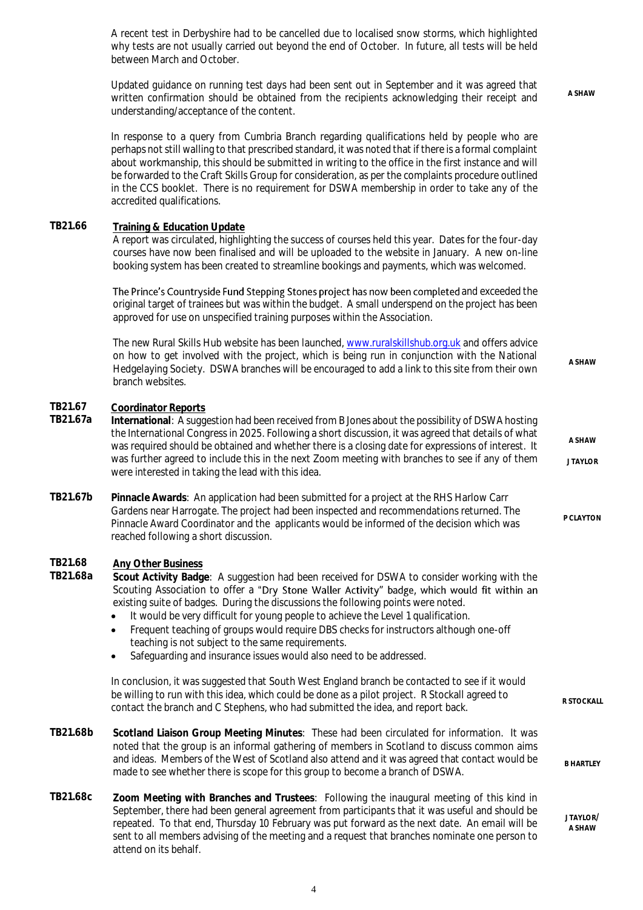A recent test in Derbyshire had to be cancelled due to localised snow storms, which highlighted why tests are not usually carried out beyond the end of October. In future, all tests will be held between March and October.

Updated guidance on running test days had been sent out in September and it was agreed that written confirmation should be obtained from the recipients acknowledging their receipt and understanding/acceptance of the content. **A SHAW**

In response to a query from Cumbria Branch regarding qualifications held by people who are perhaps not still walling to that prescribed standard, it was noted that if there is a formal complaint about workmanship, this should be submitted in writing to the office in the first instance and will be forwarded to the Craft Skills Group for consideration, as per the complaints procedure outlined in the CCS booklet. There is no requirement for DSWA membership in order to take any of the accredited qualifications.

## **TB21.66 Training & Education Update**

A report was circulated, highlighting the success of courses held this year. Dates for the four-day courses have now been finalised and will be uploaded to the website in January. A new on-line booking system has been created to streamline bookings and payments, which was welcomed.

The Prince's Countryside Fund Stepping Stones project has now been completed and exceeded the original target of trainees but was within the budget. A small underspend on the project has been approved for use on unspecified training purposes within the Association.

The new Rural Skills Hub website has been launched, [www.ruralskillshub.org.uk](http://www.ruralskillshub.org.uk/) and offers advice on how to get involved with the project, which is being run in conjunction with the National Hedgelaying Society. DSWA branches will be encouraged to add a link to this site from their own branch websites. **A SHAW**

> **A SHAW J TAYLOR**

**P CLAYTON**

**B HARTLEY** 

**J TAYLOR/ A SHAW**

## **TB21.67 Coordinator Reports**

- International: A suggestion had been received from B Jones about the possibility of DSWA hosting the International Congress in 2025. Following a short discussion, it was agreed that details of what was required should be obtained and whether there is a closing date for expressions of interest. It was further agreed to include this in the next Zoom meeting with branches to see if any of them were interested in taking the lead with this idea.
- **TB21.67b Pinnacle Awards**: An application had been submitted for a project at the RHS Harlow Carr Gardens near Harrogate. The project had been inspected and recommendations returned. The Pinnacle Award Coordinator and the applicants would be informed of the decision which was reached following a short discussion.

# **TB21.68 Any Other Business**

Scout Activity Badge: A suggestion had been received for DSWA to consider working with the Scouting Association to offer a "Dry Stone Waller Activity" badge, which would fit within an existing suite of badges. During the discussions the following points were noted.

- It would be very difficult for young people to achieve the Level 1 qualification.
- Frequent teaching of groups would require DBS checks for instructors although one-off teaching is not subject to the same requirements.
- Safeguarding and insurance issues would also need to be addressed.

In conclusion, it was suggested that South West England branch be contacted to see if it would be willing to run with this idea, which could be done as a pilot project. R Stockall agreed to contact the branch and C Stephens, who had submitted the idea, and report back.

- **TB21.68b Scotland Liaison Group Meeting Minutes**: These had been circulated for information. It was noted that the group is an informal gathering of members in Scotland to discuss common aims and ideas. Members of the West of Scotland also attend and it was agreed that contact would be made to see whether there is scope for this group to become a branch of DSWA.
- **TB21.68c Zoom Meeting with Branches and Trustees**: Following the inaugural meeting of this kind in September, there had been general agreement from participants that it was useful and should be repeated. To that end, Thursday 10 February was put forward as the next date. An email will be sent to all members advising of the meeting and a request that branches nominate one person to attend on its behalf.